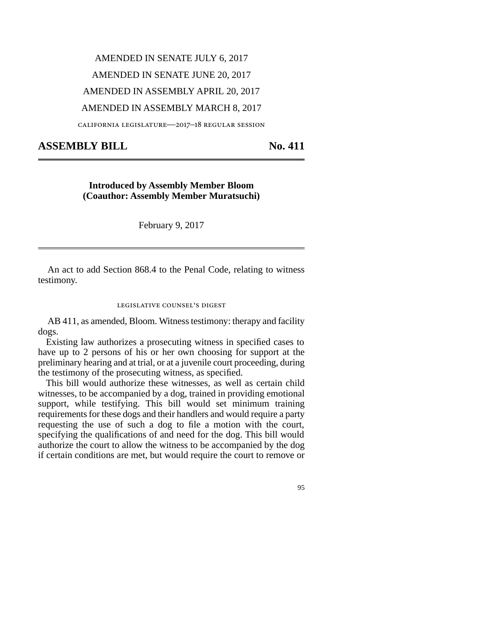# AMENDED IN SENATE JULY 6, 2017 AMENDED IN SENATE JUNE 20, 2017 AMENDED IN ASSEMBLY APRIL 20, 2017 AMENDED IN ASSEMBLY MARCH 8, 2017

california legislature—2017–18 regular session

## **ASSEMBLY BILL No. 411**

## **Introduced by Assembly Member Bloom (Coauthor: Assembly Member Muratsuchi)**

February 9, 2017

An act to add Section 868.4 to the Penal Code, relating to witness testimony.

#### legislative counsel's digest

AB 411, as amended, Bloom. Witness testimony: therapy and facility dogs.

Existing law authorizes a prosecuting witness in specified cases to have up to 2 persons of his or her own choosing for support at the preliminary hearing and at trial, or at a juvenile court proceeding, during the testimony of the prosecuting witness, as specified.

This bill would authorize these witnesses, as well as certain child witnesses, to be accompanied by a dog, trained in providing emotional support, while testifying. This bill would set minimum training requirements for these dogs and their handlers and would require a party requesting the use of such a dog to file a motion with the court, specifying the qualifications of and need for the dog. This bill would authorize the court to allow the witness to be accompanied by the dog if certain conditions are met, but would require the court to remove or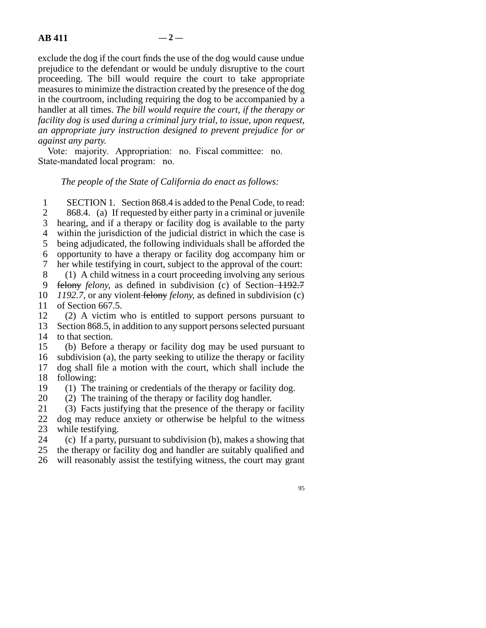exclude the dog if the court finds the use of the dog would cause undue prejudice to the defendant or would be unduly disruptive to the court proceeding. The bill would require the court to take appropriate measures to minimize the distraction created by the presence of the dog in the courtroom, including requiring the dog to be accompanied by a handler at all times. *The bill would require the court, if the therapy or facility dog is used during a criminal jury trial, to issue, upon request, an appropriate jury instruction designed to prevent prejudice for or against any party.*

Vote: majority. Appropriation: no. Fiscal committee: no. State-mandated local program: no.

### *The people of the State of California do enact as follows:*

1 SECTION 1. Section 868.4 is added to the Penal Code, to read: 2 868.4. (a) If requested by either party in a criminal or juvenile 3 hearing, and if a therapy or facility dog is available to the party 4 within the jurisdiction of the judicial district in which the case is 5 being adjudicated, the following individuals shall be afforded the line 6 opportunity to have a therapy or facility dog accompany him or 7 her while testifying in court, subject to the approval of the court: 8 (1) A child witness in a court proceeding involving any serious 9 felony *felony*, as defined in subdivision (c) of Section 1192.7 10 *1192.7*, or any violent felony *felony*, as defined in subdivision (c) 11 of Section 667.5.

 $12$  (2) A victim who is entitled to support persons pursuant to 13 Section 868.5, in addition to any support persons selected pursuant 14 to that section.

15 (b) Before a therapy or facility dog may be used pursuant to 16 subdivision (a), the party seeking to utilize the therapy or facility 17 dog shall file a motion with the court, which shall include the 18 following:<br>19 (1) The

(1) The training or credentials of the therapy or facility dog.

20  $(2)$  The training of the therapy or facility dog handler.

21 (3) Facts justifying that the presence of the therapy or facility 22 dog may reduce anxiety or otherwise be helpful to the witness 23 while testifying.

24 (c) If a party, pursuant to subdivision  $(b)$ , makes a showing that

25 the therapy or facility dog and handler are suitably qualified and

26 will reasonably assist the testifying witness, the court may grant

95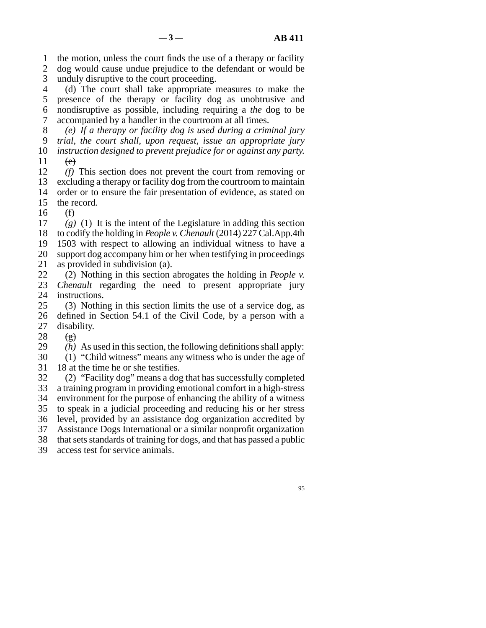1 the motion, unless the court finds the use of a therapy or facility 2 dog would cause undue prejudice to the defendant or would be 3 unduly disruptive to the court proceeding.

 line 4 (d) The court shall take appropriate measures to make the 5 presence of the therapy or facility dog as unobtrusive and line 6 nondisruptive as possible, including requiring a *the* dog to be 7 accompanied by a handler in the courtroom at all times.

 line 8 *(e) If a therapy or facility dog is used during a criminal jury* line 9 *trial, the court shall, upon request, issue an appropriate jury* 10 *instruction designed to prevent prejudice for or against any party.* 

 $\begin{matrix} 11 & & & \\ 12 & & & \\ 12 & & & \end{matrix}$  $\ell$  This section does not prevent the court from removing or 13 excluding a therapy or facility dog from the courtroom to maintain 14 order or to ensure the fair presentation of evidence, as stated on 15 the record.

 $16$  (f)

 $\left( \frac{g}{g} \right)$  (1) It is the intent of the Legislature in adding this section 18 to codify the holding in *People v. Chenault* (2014) 227 Cal.App.4th 19 1503 with respect to allowing an individual witness to have a 20 support dog accompany him or her when testifying in proceedings 21 as provided in subdivision (a).

22 (2) Nothing in this section abrogates the holding in *People v.*<br>23 *Chenault* regarding the need to present appropriate jury *Chenault* regarding the need to present appropriate jury 24 instructions.<br>25 (3) Nothin

 $\lambda$  (3) Nothing in this section limits the use of a service dog, as 26 defined in Section 54.1 of the Civil Code, by a person with a 27 disability.

28  $(g)$ 

29  $(h)$  As used in this section, the following definitions shall apply:

30 (1) "Child witness" means any witness who is under the age of 31 18 at the time he or she testifies.

32 (2) "Facility dog" means a dog that has successfully completed 33 a training program in providing emotional comfort in a high-stress 34 environment for the purpose of enhancing the ability of a witness 35 to speak in a judicial proceeding and reducing his or her stress 36 level, provided by an assistance dog organization accredited by 37 Assistance Dogs International or a similar nonprofit organization 38 that sets standards of training for dogs, and that has passed a public 39 access test for service animals.

95